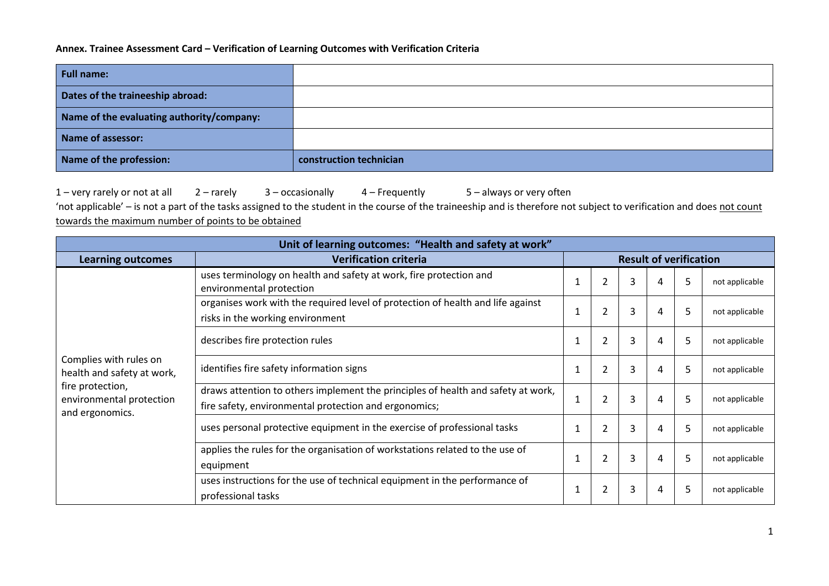## **Annex. Trainee Assessment Card – Verification of Learning Outcomes with Verification Criteria**

| <b>Full name:</b>                         |                         |
|-------------------------------------------|-------------------------|
| Dates of the traineeship abroad:          |                         |
| Name of the evaluating authority/company: |                         |
| <b>Name of assessor:</b>                  |                         |
| Name of the profession:                   | construction technician |

1 – very rarely or not at all 2 – rarely 3 – occasionally 4 – Frequently 5 – always or very often

'not applicable' – is not a part of the tasks assigned to the student in the course of the traineeship and is therefore not subject to verification and does not count towards the maximum number of points to be obtained

| Unit of learning outcomes: "Health and safety at work"          |                                                                                                                                           |                               |                |   |   |   |                |  |
|-----------------------------------------------------------------|-------------------------------------------------------------------------------------------------------------------------------------------|-------------------------------|----------------|---|---|---|----------------|--|
| <b>Learning outcomes</b>                                        | <b>Verification criteria</b>                                                                                                              | <b>Result of verification</b> |                |   |   |   |                |  |
|                                                                 | uses terminology on health and safety at work, fire protection and<br>environmental protection                                            |                               |                | 3 | 4 | 5 | not applicable |  |
|                                                                 | organises work with the required level of protection of health and life against<br>risks in the working environment                       |                               | $\overline{2}$ | 3 | 4 | 5 | not applicable |  |
|                                                                 | describes fire protection rules                                                                                                           | $\mathbf{1}$                  | $\overline{2}$ | 3 | 4 | 5 | not applicable |  |
| Complies with rules on<br>health and safety at work,            | identifies fire safety information signs                                                                                                  | 1                             | 2              | 3 | 4 | 5 | not applicable |  |
| fire protection,<br>environmental protection<br>and ergonomics. | draws attention to others implement the principles of health and safety at work,<br>fire safety, environmental protection and ergonomics; | $\mathbf 1$                   | $\overline{2}$ | 3 | 4 | 5 | not applicable |  |
|                                                                 | uses personal protective equipment in the exercise of professional tasks                                                                  | $\mathbf{1}$                  | 2              | 3 | 4 | 5 | not applicable |  |
|                                                                 | applies the rules for the organisation of workstations related to the use of<br>equipment                                                 | $\mathbf{1}$                  | $\overline{2}$ | 3 | 4 | 5 | not applicable |  |
|                                                                 | uses instructions for the use of technical equipment in the performance of<br>professional tasks                                          | 1                             | $\mathcal{P}$  | 3 | 4 | 5 | not applicable |  |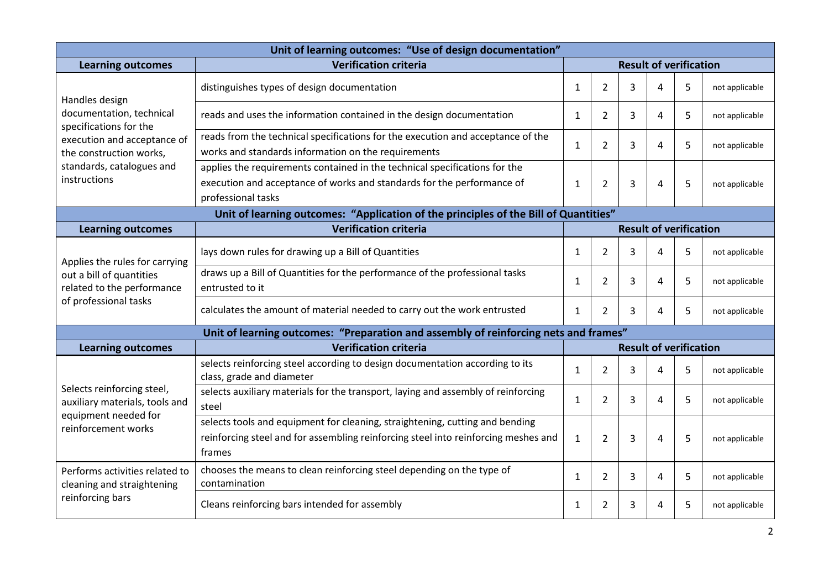| Unit of learning outcomes: "Use of design documentation"                             |                                                                                                                                                                              |              |                               |                               |   |   |                |
|--------------------------------------------------------------------------------------|------------------------------------------------------------------------------------------------------------------------------------------------------------------------------|--------------|-------------------------------|-------------------------------|---|---|----------------|
| <b>Learning outcomes</b>                                                             | <b>Verification criteria</b>                                                                                                                                                 |              | <b>Result of verification</b> |                               |   |   |                |
| Handles design                                                                       | distinguishes types of design documentation                                                                                                                                  | $\mathbf{1}$ | $\overline{2}$                | 3                             | 4 | 5 | not applicable |
| documentation, technical<br>specifications for the                                   | reads and uses the information contained in the design documentation                                                                                                         | 1            | 2                             | 3                             | 4 | 5 | not applicable |
| execution and acceptance of<br>the construction works,                               | reads from the technical specifications for the execution and acceptance of the<br>works and standards information on the requirements                                       | $\mathbf{1}$ | $\overline{2}$                | 3                             | 4 | 5 | not applicable |
| standards, catalogues and<br>instructions                                            | applies the requirements contained in the technical specifications for the<br>execution and acceptance of works and standards for the performance of<br>professional tasks   | $\mathbf{1}$ | $\overline{2}$                | 3                             | Δ | 5 | not applicable |
|                                                                                      | Unit of learning outcomes: "Application of the principles of the Bill of Quantities"                                                                                         |              |                               |                               |   |   |                |
| <b>Learning outcomes</b>                                                             | <b>Verification criteria</b>                                                                                                                                                 |              |                               | <b>Result of verification</b> |   |   |                |
| Applies the rules for carrying                                                       | lays down rules for drawing up a Bill of Quantities                                                                                                                          | $\mathbf{1}$ | 2                             | 3                             | 4 | 5 | not applicable |
| out a bill of quantities<br>related to the performance                               | draws up a Bill of Quantities for the performance of the professional tasks<br>entrusted to it                                                                               |              | $\overline{2}$                | 3                             | 4 | 5 | not applicable |
| of professional tasks                                                                | calculates the amount of material needed to carry out the work entrusted                                                                                                     | $\mathbf{1}$ | $\overline{2}$                | 3                             | 4 | 5 | not applicable |
|                                                                                      | Unit of learning outcomes: "Preparation and assembly of reinforcing nets and frames"                                                                                         |              |                               |                               |   |   |                |
| <b>Learning outcomes</b>                                                             | <b>Verification criteria</b>                                                                                                                                                 |              |                               | <b>Result of verification</b> |   |   |                |
|                                                                                      | selects reinforcing steel according to design documentation according to its<br>class, grade and diameter                                                                    | $\mathbf{1}$ | $\overline{2}$                | 3                             | 4 | 5 | not applicable |
| Selects reinforcing steel,<br>auxiliary materials, tools and<br>equipment needed for | selects auxiliary materials for the transport, laying and assembly of reinforcing<br>steel                                                                                   | $\mathbf{1}$ | $\overline{2}$                | 3                             | 4 | 5 | not applicable |
| reinforcement works                                                                  | selects tools and equipment for cleaning, straightening, cutting and bending<br>reinforcing steel and for assembling reinforcing steel into reinforcing meshes and<br>frames | $\mathbf{1}$ | $\overline{2}$                | 3                             | 4 | 5 | not applicable |
| Performs activities related to<br>cleaning and straightening                         | chooses the means to clean reinforcing steel depending on the type of<br>contamination                                                                                       | $\mathbf{1}$ | $\overline{2}$                | 3                             | 4 | 5 | not applicable |
| reinforcing bars                                                                     | Cleans reinforcing bars intended for assembly                                                                                                                                | $\mathbf{1}$ | 2                             | 3                             | 4 | 5 | not applicable |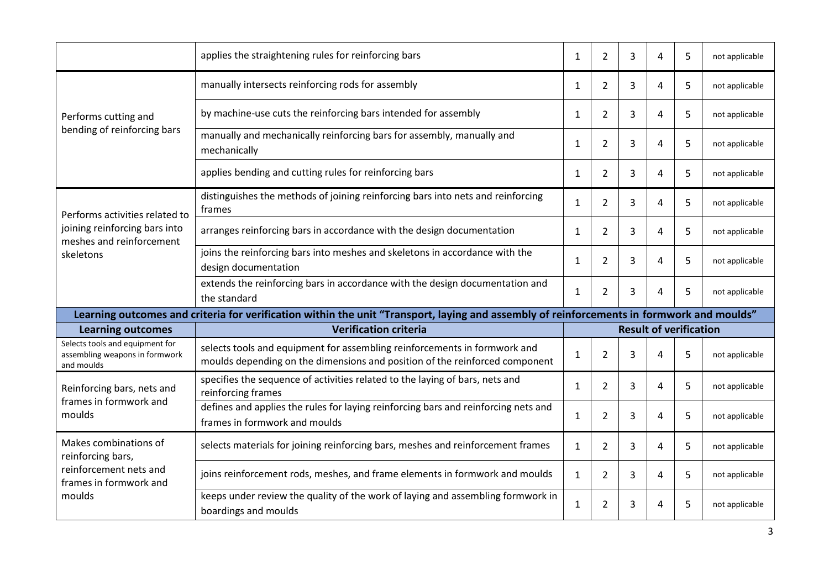|                                                                                                                   | applies the straightening rules for reinforcing bars<br>$\mathbf{1}$                                                                                     |              | $\overline{2}$ | 3 | 4                             | 5 | not applicable |  |
|-------------------------------------------------------------------------------------------------------------------|----------------------------------------------------------------------------------------------------------------------------------------------------------|--------------|----------------|---|-------------------------------|---|----------------|--|
|                                                                                                                   | manually intersects reinforcing rods for assembly                                                                                                        |              | $\overline{2}$ | 3 | 4                             | 5 | not applicable |  |
| Performs cutting and                                                                                              | by machine-use cuts the reinforcing bars intended for assembly                                                                                           | 1            | $\overline{2}$ | 3 | 4                             | 5 | not applicable |  |
| bending of reinforcing bars                                                                                       | manually and mechanically reinforcing bars for assembly, manually and<br>mechanically                                                                    | $\mathbf{1}$ | 2              | 3 | 4                             | 5 | not applicable |  |
|                                                                                                                   | applies bending and cutting rules for reinforcing bars                                                                                                   | $\mathbf{1}$ | $\overline{2}$ | 3 | 4                             | 5 | not applicable |  |
| Performs activities related to                                                                                    | distinguishes the methods of joining reinforcing bars into nets and reinforcing<br>frames                                                                | $\mathbf{1}$ | $\overline{2}$ | 3 | 4                             | 5 | not applicable |  |
| joining reinforcing bars into<br>meshes and reinforcement                                                         | arranges reinforcing bars in accordance with the design documentation                                                                                    | $\mathbf{1}$ | $\overline{2}$ | 3 | 4                             | 5 | not applicable |  |
| skeletons                                                                                                         | joins the reinforcing bars into meshes and skeletons in accordance with the<br>design documentation                                                      |              | 2              | 3 | 4                             | 5 | not applicable |  |
|                                                                                                                   | extends the reinforcing bars in accordance with the design documentation and<br>the standard                                                             | $\mathbf{1}$ | $\overline{2}$ | 3 | 4                             | 5 | not applicable |  |
|                                                                                                                   | Learning outcomes and criteria for verification within the unit "Transport, laying and assembly of reinforcements in formwork and moulds"                |              |                |   |                               |   |                |  |
| <b>Learning outcomes</b>                                                                                          | <b>Verification criteria</b>                                                                                                                             |              |                |   | <b>Result of verification</b> |   |                |  |
| Selects tools and equipment for<br>assembling weapons in formwork<br>and moulds                                   | selects tools and equipment for assembling reinforcements in formwork and<br>moulds depending on the dimensions and position of the reinforced component | $\mathbf{1}$ | $\overline{2}$ | 3 | 4                             | 5 | not applicable |  |
| Reinforcing bars, nets and                                                                                        | specifies the sequence of activities related to the laying of bars, nets and<br>reinforcing frames                                                       | $\mathbf{1}$ | $\overline{2}$ | 3 | 4                             | 5 | not applicable |  |
| frames in formwork and<br>moulds                                                                                  | defines and applies the rules for laying reinforcing bars and reinforcing nets and<br>1<br>frames in formwork and moulds                                 |              | 2              | 3 | 4                             | 5 | not applicable |  |
| Makes combinations of<br>reinforcing bars,                                                                        | selects materials for joining reinforcing bars, meshes and reinforcement frames                                                                          |              | $\overline{2}$ | 3 | 4                             | 5 | not applicable |  |
| reinforcement nets and<br>frames in formwork and                                                                  | joins reinforcement rods, meshes, and frame elements in formwork and moulds                                                                              | $\mathbf{1}$ | $\overline{2}$ | 3 | 4                             | 5 | not applicable |  |
| keeps under review the quality of the work of laying and assembling formwork in<br>moulds<br>boardings and moulds |                                                                                                                                                          | $\mathbf{1}$ | $\overline{2}$ | 3 | 4                             | 5 | not applicable |  |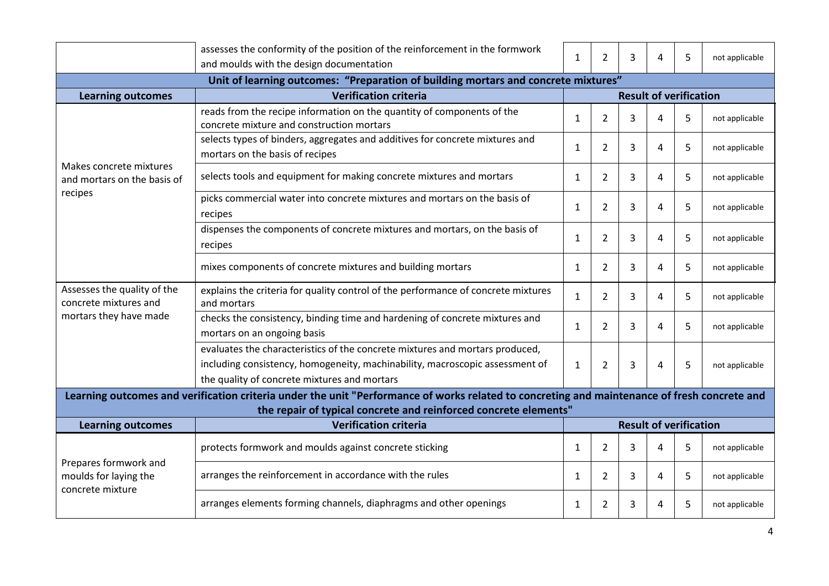|                                                                                    | assesses the conformity of the position of the reinforcement in the formwork<br>and moulds with the design documentation                                                                                     |              | 2              | 3 | 4                             | 5 | not applicable |
|------------------------------------------------------------------------------------|--------------------------------------------------------------------------------------------------------------------------------------------------------------------------------------------------------------|--------------|----------------|---|-------------------------------|---|----------------|
| Unit of learning outcomes: "Preparation of building mortars and concrete mixtures" |                                                                                                                                                                                                              |              |                |   |                               |   |                |
| <b>Learning outcomes</b>                                                           | <b>Verification criteria</b>                                                                                                                                                                                 |              |                |   | <b>Result of verification</b> |   |                |
|                                                                                    | reads from the recipe information on the quantity of components of the<br>concrete mixture and construction mortars                                                                                          | $\mathbf{1}$ | $\overline{2}$ | 3 | 4                             | 5 | not applicable |
|                                                                                    | selects types of binders, aggregates and additives for concrete mixtures and<br>mortars on the basis of recipes                                                                                              | $\mathbf{1}$ | $\overline{2}$ | 3 | 4                             | 5 | not applicable |
| Makes concrete mixtures<br>and mortars on the basis of                             | selects tools and equipment for making concrete mixtures and mortars                                                                                                                                         | 1            | $\overline{2}$ | 3 | 4                             | 5 | not applicable |
| recipes                                                                            | picks commercial water into concrete mixtures and mortars on the basis of<br>recipes                                                                                                                         | $\mathbf{1}$ | $\overline{2}$ | 3 | 4                             | 5 | not applicable |
|                                                                                    | dispenses the components of concrete mixtures and mortars, on the basis of<br>recipes                                                                                                                        | 1            | $\overline{2}$ | 3 | 4                             | 5 | not applicable |
|                                                                                    | mixes components of concrete mixtures and building mortars                                                                                                                                                   |              | 2              | 3 | 4                             | 5 | not applicable |
| Assesses the quality of the<br>concrete mixtures and                               | explains the criteria for quality control of the performance of concrete mixtures<br>$\mathbf{1}$<br>and mortars                                                                                             |              | $\overline{2}$ | 3 | 4                             | 5 | not applicable |
| mortars they have made                                                             | checks the consistency, binding time and hardening of concrete mixtures and<br>mortars on an ongoing basis                                                                                                   | $\mathbf{1}$ | $\overline{2}$ | 3 | 4                             | 5 | not applicable |
|                                                                                    | evaluates the characteristics of the concrete mixtures and mortars produced,<br>including consistency, homogeneity, machinability, macroscopic assessment of<br>the quality of concrete mixtures and mortars | $\mathbf{1}$ | $\overline{2}$ | 3 | 4                             | 5 | not applicable |
|                                                                                    | Learning outcomes and verification criteria under the unit "Performance of works related to concreting and maintenance of fresh concrete and                                                                 |              |                |   |                               |   |                |
|                                                                                    | the repair of typical concrete and reinforced concrete elements"                                                                                                                                             |              |                |   |                               |   |                |
| <b>Learning outcomes</b>                                                           | <b>Verification criteria</b>                                                                                                                                                                                 |              |                |   | <b>Result of verification</b> |   |                |
| Prepares formwork and                                                              | protects formwork and moulds against concrete sticking                                                                                                                                                       | $\mathbf{1}$ | $\overline{2}$ | 3 | 4                             | 5 | not applicable |
| moulds for laying the<br>concrete mixture                                          | arranges the reinforcement in accordance with the rules                                                                                                                                                      | 1            | $\overline{2}$ | 3 | 4                             | 5 | not applicable |
|                                                                                    | arranges elements forming channels, diaphragms and other openings                                                                                                                                            | $\mathbf{1}$ | 2              | 3 | 4                             | 5 | not applicable |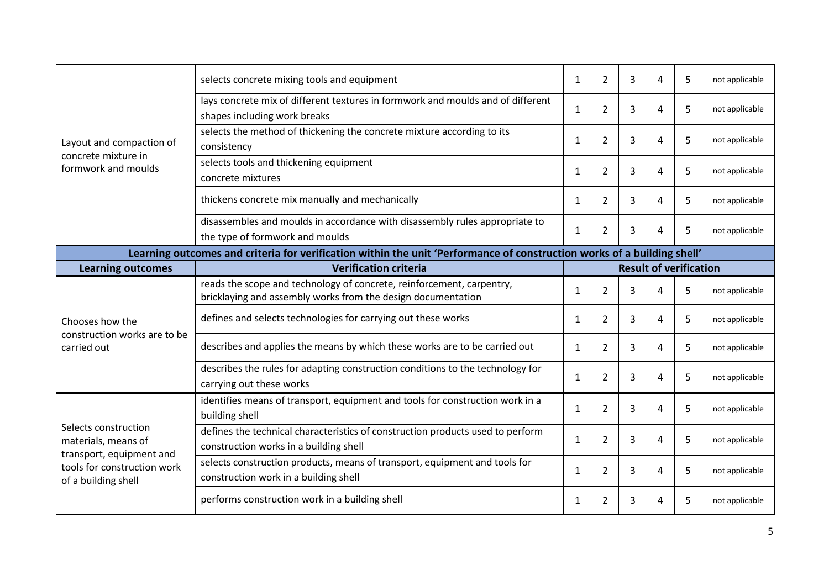|                                                                         | selects concrete mixing tools and equipment                                                                                           | $\mathbf{1}$ | $\overline{2}$ | $\overline{3}$                | 4 | 5 | not applicable |
|-------------------------------------------------------------------------|---------------------------------------------------------------------------------------------------------------------------------------|--------------|----------------|-------------------------------|---|---|----------------|
|                                                                         | lays concrete mix of different textures in formwork and moulds and of different<br>shapes including work breaks                       | $\mathbf{1}$ | $\overline{2}$ | 3                             | 4 | 5 | not applicable |
| Layout and compaction of                                                | selects the method of thickening the concrete mixture according to its<br>consistency                                                 | $\mathbf{1}$ | $\overline{2}$ | 3                             | 4 | 5 | not applicable |
| concrete mixture in<br>formwork and moulds                              | selects tools and thickening equipment<br>concrete mixtures                                                                           | $\mathbf{1}$ | $\overline{2}$ | 3                             | 4 | 5 | not applicable |
|                                                                         | thickens concrete mix manually and mechanically                                                                                       | $\mathbf{1}$ | $\overline{2}$ | 3                             | 4 | 5 | not applicable |
|                                                                         | disassembles and moulds in accordance with disassembly rules appropriate to<br>the type of formwork and moulds                        |              | $\overline{2}$ | 3                             | 4 | 5 | not applicable |
|                                                                         | Learning outcomes and criteria for verification within the unit 'Performance of construction works of a building shell'               |              |                |                               |   |   |                |
| <b>Learning outcomes</b>                                                | <b>Verification criteria</b>                                                                                                          |              |                | <b>Result of verification</b> |   |   |                |
|                                                                         | reads the scope and technology of concrete, reinforcement, carpentry,<br>bricklaying and assembly works from the design documentation | $\mathbf{1}$ | $\overline{2}$ | 3                             | 4 | 5 | not applicable |
| Chooses how the                                                         | defines and selects technologies for carrying out these works                                                                         | $\mathbf{1}$ | $\overline{2}$ | 3                             | 4 | 5 | not applicable |
| construction works are to be<br>carried out                             | describes and applies the means by which these works are to be carried out                                                            | $\mathbf{1}$ | $\overline{2}$ | 3                             | 4 | 5 | not applicable |
|                                                                         | describes the rules for adapting construction conditions to the technology for<br>carrying out these works                            | $\mathbf{1}$ | 2              | 3                             | 4 | 5 | not applicable |
|                                                                         | identifies means of transport, equipment and tools for construction work in a<br>building shell                                       | $\mathbf{1}$ | 2              | 3                             | 4 | 5 | not applicable |
| Selects construction<br>materials, means of<br>transport, equipment and | defines the technical characteristics of construction products used to perform<br>construction works in a building shell              | $\mathbf{1}$ | $\overline{2}$ | 3                             | 4 | 5 | not applicable |
| tools for construction work<br>of a building shell                      | selects construction products, means of transport, equipment and tools for<br>construction work in a building shell                   | 1            | 2              | 3                             | 4 | 5 | not applicable |
|                                                                         | performs construction work in a building shell                                                                                        | $\mathbf{1}$ | 2              | 3                             | 4 | 5 | not applicable |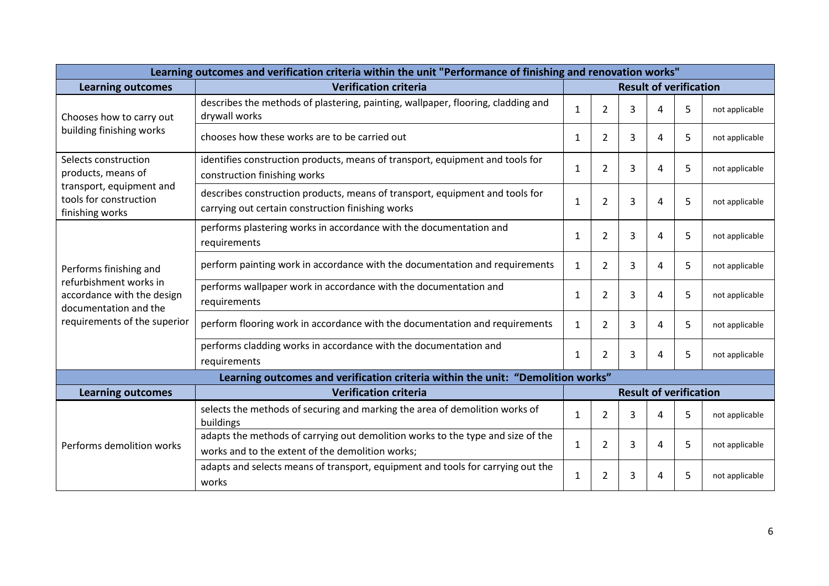| Learning outcomes and verification criteria within the unit "Performance of finishing and renovation works" |                                                                                                                                     |                               |                |   |   |   |                |
|-------------------------------------------------------------------------------------------------------------|-------------------------------------------------------------------------------------------------------------------------------------|-------------------------------|----------------|---|---|---|----------------|
| <b>Learning outcomes</b>                                                                                    | <b>Verification criteria</b>                                                                                                        | <b>Result of verification</b> |                |   |   |   |                |
| Chooses how to carry out                                                                                    | describes the methods of plastering, painting, wallpaper, flooring, cladding and<br>drywall works                                   | $\mathbf{1}$                  | $\overline{2}$ | 3 | Δ | 5 | not applicable |
| building finishing works                                                                                    | chooses how these works are to be carried out                                                                                       | 1                             | 2              | 3 | 4 | 5 | not applicable |
| Selects construction<br>products, means of                                                                  | identifies construction products, means of transport, equipment and tools for<br>construction finishing works                       | $\mathbf{1}$                  | $\overline{2}$ | 3 | 4 | 5 | not applicable |
| transport, equipment and<br>tools for construction<br>finishing works                                       | describes construction products, means of transport, equipment and tools for<br>carrying out certain construction finishing works   | $\mathbf{1}$                  | $\overline{2}$ | 3 | 4 | 5 | not applicable |
|                                                                                                             | performs plastering works in accordance with the documentation and<br>requirements                                                  |                               | $\overline{2}$ | 3 | 4 | 5 | not applicable |
| Performs finishing and                                                                                      | perform painting work in accordance with the documentation and requirements                                                         | $\mathbf{1}$                  | 2              | 3 | 4 | 5 | not applicable |
| refurbishment works in<br>accordance with the design<br>documentation and the                               | performs wallpaper work in accordance with the documentation and<br>requirements                                                    | $\mathbf{1}$                  | 2              | 3 | 4 | 5 | not applicable |
| requirements of the superior                                                                                | perform flooring work in accordance with the documentation and requirements                                                         | $\mathbf{1}$                  | 2              | 3 | 4 | 5 | not applicable |
|                                                                                                             | performs cladding works in accordance with the documentation and<br>requirements                                                    | $\mathbf{1}$                  | 2              | 3 | 4 | 5 | not applicable |
|                                                                                                             | Learning outcomes and verification criteria within the unit: "Demolition works"                                                     |                               |                |   |   |   |                |
| <b>Learning outcomes</b>                                                                                    | <b>Verification criteria</b>                                                                                                        | <b>Result of verification</b> |                |   |   |   |                |
|                                                                                                             | selects the methods of securing and marking the area of demolition works of<br>buildings                                            | 1                             | 2              | 3 | 4 | 5 | not applicable |
| Performs demolition works                                                                                   | adapts the methods of carrying out demolition works to the type and size of the<br>works and to the extent of the demolition works; | $\mathbf{1}$                  | 2              | 3 | 4 | 5 | not applicable |
|                                                                                                             | adapts and selects means of transport, equipment and tools for carrying out the<br>works                                            | $\mathbf{1}$                  | $\overline{2}$ | 3 | 4 | 5 | not applicable |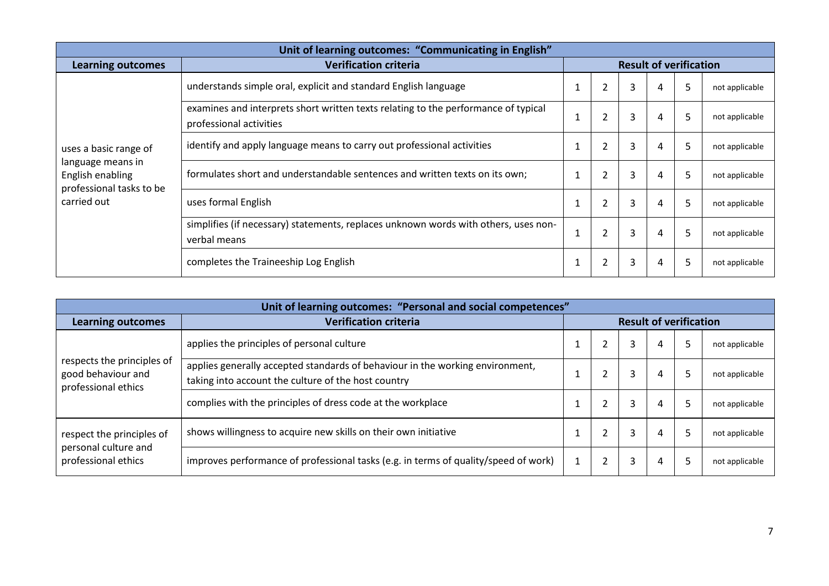| Unit of learning outcomes: "Communicating in English"             |                                                                                                                                                                 |                               |                |   |   |    |                |  |  |
|-------------------------------------------------------------------|-----------------------------------------------------------------------------------------------------------------------------------------------------------------|-------------------------------|----------------|---|---|----|----------------|--|--|
| <b>Learning outcomes</b>                                          | <b>Verification criteria</b>                                                                                                                                    | <b>Result of verification</b> |                |   |   |    |                |  |  |
|                                                                   | understands simple oral, explicit and standard English language                                                                                                 |                               | $\overline{2}$ | 3 | 4 | 5. | not applicable |  |  |
|                                                                   | examines and interprets short written texts relating to the performance of typical<br>professional activities                                                   |                               | $\overline{2}$ | 3 | 4 | 5  | not applicable |  |  |
| uses a basic range of                                             | identify and apply language means to carry out professional activities<br>1<br>formulates short and understandable sentences and written texts on its own;<br>1 |                               | $\overline{2}$ | 3 | 4 | 5  | not applicable |  |  |
| language means in<br>English enabling<br>professional tasks to be |                                                                                                                                                                 |                               | 2              | 3 | 4 | 5. | not applicable |  |  |
| carried out                                                       | uses formal English                                                                                                                                             | 1                             |                | 3 | 4 | 5  | not applicable |  |  |
|                                                                   | simplifies (if necessary) statements, replaces unknown words with others, uses non-<br>$\overline{2}$<br>3<br>1<br>verbal means                                 |                               |                |   |   |    | not applicable |  |  |
|                                                                   | completes the Traineeship Log English                                                                                                                           | $\mathbf{1}$                  | $\overline{2}$ | 3 | 4 | 5  | not applicable |  |  |

| Unit of learning outcomes: "Personal and social competences" |                                                                                                                                                                                                                            |  |                               |   |   |   |                |  |  |
|--------------------------------------------------------------|----------------------------------------------------------------------------------------------------------------------------------------------------------------------------------------------------------------------------|--|-------------------------------|---|---|---|----------------|--|--|
| <b>Learning outcomes</b>                                     | <b>Verification criteria</b>                                                                                                                                                                                               |  | <b>Result of verification</b> |   |   |   |                |  |  |
|                                                              | applies the principles of personal culture                                                                                                                                                                                 |  |                               | 3 | 4 | 5 | not applicable |  |  |
| respects the principles of<br>good behaviour and             | applies generally accepted standards of behaviour in the working environment,<br>taking into account the culture of the host country<br>professional ethics<br>complies with the principles of dress code at the workplace |  |                               | 3 | 4 | 5 | not applicable |  |  |
|                                                              |                                                                                                                                                                                                                            |  |                               | 3 | 4 | 5 | not applicable |  |  |
| respect the principles of                                    | shows willingness to acquire new skills on their own initiative                                                                                                                                                            |  | $\overline{2}$                | 3 | 4 |   | not applicable |  |  |
| personal culture and<br>professional ethics                  | improves performance of professional tasks (e.g. in terms of quality/speed of work)                                                                                                                                        |  |                               |   | 4 |   | not applicable |  |  |